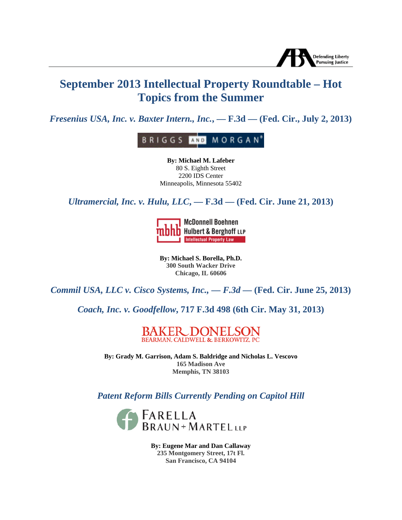

# **September 2013 Intellectual Property Roundtable – Hot Topics from the Summer**

*Fresenius USA, Inc. v. Baxter Intern., Inc.***, — F.3d — (Fed. Cir., July 2, 2013)** 

## BRIGGS AND MORGAN

**By: Michael M. Lafeber**  80 S. Eighth Street 2200 IDS Center Minneapolis, Minnesota 55402

*Ultramercial, Inc. v. Hulu, LLC***, — F.3d — (Fed. Cir. June 21, 2013)** 



**By: Michael S. Borella, Ph.D. 300 South Wacker Drive Chicago, IL 60606** 

*Commil USA, LLC v. Cisco Systems, Inc., — F.3d — (Fed. Cir. June 25, 2013)* 

*Coach, Inc. v. Goodfellow***, 717 F.3d 498 (6th Cir. May 31, 2013)** 

**BAKER LDONEL BEARMAN, CALDWELL & BERKOWITZ, PC** 

**By: Grady M. Garrison, Adam S. Baldridge and Nicholas L. Vescovo 165 Madison Ave Memphis, TN 38103** 

*Patent Reform Bills Currently Pending on Capitol Hill*



**By: Eugene Mar and Dan Callaway 235 Montgomery Street, 17t Fl. San Francisco, CA 94104**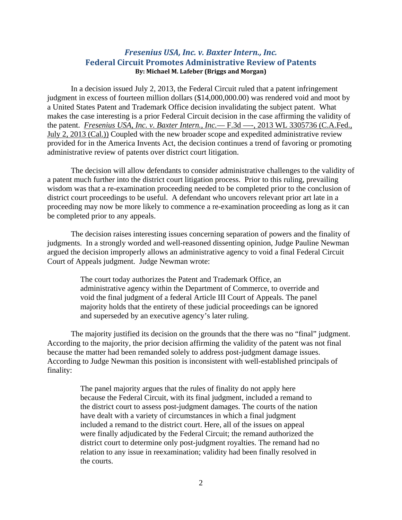#### *Fresenius USA, Inc. v. Baxter Intern., Inc.* **Federal Circuit Promotes Administrative Review of Patents By: Michael M. Lafeber (Briggs and Morgan)**

In a decision issued July 2, 2013, the Federal Circuit ruled that a patent infringement judgment in excess of fourteen million dollars (\$14,000,000.00) was rendered void and moot by a United States Patent and Trademark Office decision invalidating the subject patent. What makes the case interesting is a prior Federal Circuit decision in the case affirming the validity of the patent. *Fresenius USA, Inc. v. Baxter Intern., Inc.*— F.3d —-, 2013 WL 3305736 (C.A.Fed., July 2, 2013 (Cal.)) Coupled with the new broader scope and expedited administrative review provided for in the America Invents Act, the decision continues a trend of favoring or promoting administrative review of patents over district court litigation.

The decision will allow defendants to consider administrative challenges to the validity of a patent much further into the district court litigation process. Prior to this ruling, prevailing wisdom was that a re-examination proceeding needed to be completed prior to the conclusion of district court proceedings to be useful. A defendant who uncovers relevant prior art late in a proceeding may now be more likely to commence a re-examination proceeding as long as it can be completed prior to any appeals.

The decision raises interesting issues concerning separation of powers and the finality of judgments. In a strongly worded and well-reasoned dissenting opinion, Judge Pauline Newman argued the decision improperly allows an administrative agency to void a final Federal Circuit Court of Appeals judgment. Judge Newman wrote:

> The court today authorizes the Patent and Trademark Office, an administrative agency within the Department of Commerce, to override and void the final judgment of a federal Article III Court of Appeals. The panel majority holds that the entirety of these judicial proceedings can be ignored and superseded by an executive agency's later ruling.

The majority justified its decision on the grounds that the there was no "final" judgment. According to the majority, the prior decision affirming the validity of the patent was not final because the matter had been remanded solely to address post-judgment damage issues. According to Judge Newman this position is inconsistent with well-established principals of finality:

> The panel majority argues that the rules of finality do not apply here because the Federal Circuit, with its final judgment, included a remand to the district court to assess post-judgment damages. The courts of the nation have dealt with a variety of circumstances in which a final judgment included a remand to the district court. Here, all of the issues on appeal were finally adjudicated by the Federal Circuit; the remand authorized the district court to determine only post-judgment royalties. The remand had no relation to any issue in reexamination; validity had been finally resolved in the courts.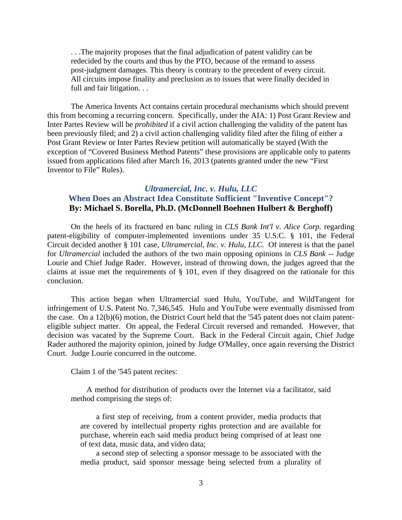. . .The majority proposes that the final adjudication of patent validity can be redecided by the courts and thus by the PTO, because of the remand to assess post-judgment damages. This theory is contrary to the precedent of every circuit. All circuits impose finality and preclusion as to issues that were finally decided in full and fair litigation. . .

The America Invents Act contains certain procedural mechanisms which should prevent this from becoming a recurring concern. Specifically, under the AIA: 1) Post Grant Review and Inter Partes Review will be *prohibited* if a civil action challenging the validity of the patent has been previously filed; and 2) a civil action challenging validity filed after the filing of either a Post Grant Review or Inter Partes Review petition will automatically be stayed (With the exception of "Covered Business Method Patents" these provisions are applicable only to patents issued from applications filed after March 16, 2013 (patents granted under the new "First Inventor to File" Rules).

#### *Ultramercial, Inc. v. Hulu, LLC* **When Does an Abstract Idea Constitute Sufficient "Inventive Concept"? By: Michael S. Borella, Ph.D. (McDonnell Boehnen Hulbert & Berghoff)**

On the heels of its fractured en banc ruling in *CLS Bank Int'l v. Alice Corp.* regarding patent-eligibility of computer-implemented inventions under 35 U.S.C. § 101, the Federal Circuit decided another § 101 case, *Ultramercial, Inc. v. Hulu, LLC.* Of interest is that the panel for *Ultramercial* included the authors of the two main opposing opinions in *CLS Bank* -- Judge Lourie and Chief Judge Rader. However, instead of throwing down, the judges agreed that the claims at issue met the requirements of § 101, even if they disagreed on the rationale for this conclusion.

This action began when Ultramercial sued Hulu, YouTube, and WildTangent for infringement of U.S. Patent No. 7,346,545. Hulu and YouTube were eventually dismissed from the case. On a 12(b)(6) motion, the District Court held that the '545 patent does not claim patenteligible subject matter. On appeal, the Federal Circuit reversed and remanded. However, that decision was vacated by the Supreme Court. Back in the Federal Circuit again, Chief Judge Rader authored the majority opinion, joined by Judge O'Malley, once again reversing the District Court. Judge Lourie concurred in the outcome.

Claim 1 of the '545 patent recites:

 A method for distribution of products over the Internet via a facilitator, said method comprising the steps of:

 a first step of receiving, from a content provider, media products that are covered by intellectual property rights protection and are available for purchase, wherein each said media product being comprised of at least one of text data, music data, and video data;

 a second step of selecting a sponsor message to be associated with the media product, said sponsor message being selected from a plurality of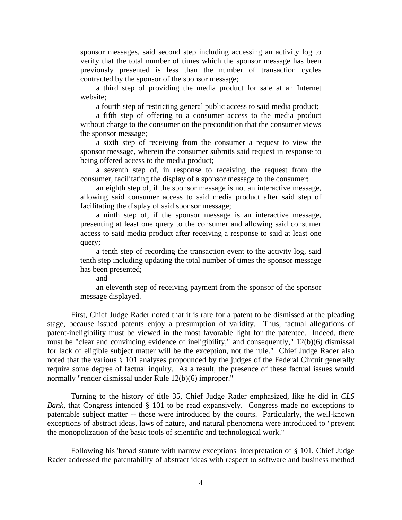sponsor messages, said second step including accessing an activity log to verify that the total number of times which the sponsor message has been previously presented is less than the number of transaction cycles contracted by the sponsor of the sponsor message;

 a third step of providing the media product for sale at an Internet website;

a fourth step of restricting general public access to said media product;

 a fifth step of offering to a consumer access to the media product without charge to the consumer on the precondition that the consumer views the sponsor message;

 a sixth step of receiving from the consumer a request to view the sponsor message, wherein the consumer submits said request in response to being offered access to the media product;

 a seventh step of, in response to receiving the request from the consumer, facilitating the display of a sponsor message to the consumer;

 an eighth step of, if the sponsor message is not an interactive message, allowing said consumer access to said media product after said step of facilitating the display of said sponsor message;

 a ninth step of, if the sponsor message is an interactive message, presenting at least one query to the consumer and allowing said consumer access to said media product after receiving a response to said at least one query;

 a tenth step of recording the transaction event to the activity log, said tenth step including updating the total number of times the sponsor message has been presented;

and

 an eleventh step of receiving payment from the sponsor of the sponsor message displayed.

First, Chief Judge Rader noted that it is rare for a patent to be dismissed at the pleading stage, because issued patents enjoy a presumption of validity. Thus, factual allegations of patent-ineligibility must be viewed in the most favorable light for the patentee. Indeed, there must be "clear and convincing evidence of ineligibility," and consequently," 12(b)(6) dismissal for lack of eligible subject matter will be the exception, not the rule." Chief Judge Rader also noted that the various § 101 analyses propounded by the judges of the Federal Circuit generally require some degree of factual inquiry. As a result, the presence of these factual issues would normally "render dismissal under Rule 12(b)(6) improper."

Turning to the history of title 35, Chief Judge Rader emphasized, like he did in *CLS Bank*, that Congress intended § 101 to be read expansively. Congress made no exceptions to patentable subject matter -- those were introduced by the courts. Particularly, the well-known exceptions of abstract ideas, laws of nature, and natural phenomena were introduced to "prevent the monopolization of the basic tools of scientific and technological work."

Following his 'broad statute with narrow exceptions' interpretation of § 101, Chief Judge Rader addressed the patentability of abstract ideas with respect to software and business method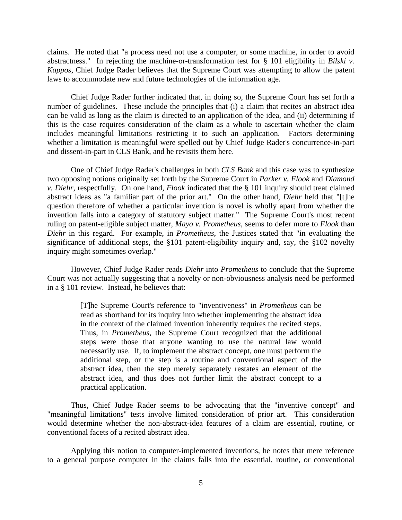claims. He noted that "a process need not use a computer, or some machine, in order to avoid abstractness." In rejecting the machine-or-transformation test for § 101 eligibility in *Bilski v. Kappos*, Chief Judge Rader believes that the Supreme Court was attempting to allow the patent laws to accommodate new and future technologies of the information age.

Chief Judge Rader further indicated that, in doing so, the Supreme Court has set forth a number of guidelines. These include the principles that (i) a claim that recites an abstract idea can be valid as long as the claim is directed to an application of the idea, and (ii) determining if this is the case requires consideration of the claim as a whole to ascertain whether the claim includes meaningful limitations restricting it to such an application. Factors determining whether a limitation is meaningful were spelled out by Chief Judge Rader's concurrence-in-part and dissent-in-part in CLS Bank, and he revisits them here.

One of Chief Judge Rader's challenges in both *CLS Bank* and this case was to synthesize two opposing notions originally set forth by the Supreme Court in *Parker v. Flook* and *Diamond v. Diehr*, respectfully. On one hand, *Flook* indicated that the § 101 inquiry should treat claimed abstract ideas as "a familiar part of the prior art." On the other hand, *Diehr* held that "[t]he question therefore of whether a particular invention is novel is wholly apart from whether the invention falls into a category of statutory subject matter." The Supreme Court's most recent ruling on patent-eligible subject matter, *Mayo v. Prometheus*, seems to defer more to *Flook* than *Diehr* in this regard. For example, in *Prometheus*, the Justices stated that "in evaluating the significance of additional steps, the §101 patent-eligibility inquiry and, say, the §102 novelty inquiry might sometimes overlap."

However, Chief Judge Rader reads *Diehr* into *Prometheus* to conclude that the Supreme Court was not actually suggesting that a novelty or non-obviousness analysis need be performed in a § 101 review. Instead, he believes that:

> [T]he Supreme Court's reference to "inventiveness" in *Prometheus* can be read as shorthand for its inquiry into whether implementing the abstract idea in the context of the claimed invention inherently requires the recited steps. Thus, in *Prometheus*, the Supreme Court recognized that the additional steps were those that anyone wanting to use the natural law would necessarily use. If, to implement the abstract concept, one must perform the additional step, or the step is a routine and conventional aspect of the abstract idea, then the step merely separately restates an element of the abstract idea, and thus does not further limit the abstract concept to a practical application.

Thus, Chief Judge Rader seems to be advocating that the "inventive concept" and "meaningful limitations" tests involve limited consideration of prior art. This consideration would determine whether the non-abstract-idea features of a claim are essential, routine, or conventional facets of a recited abstract idea.

Applying this notion to computer-implemented inventions, he notes that mere reference to a general purpose computer in the claims falls into the essential, routine, or conventional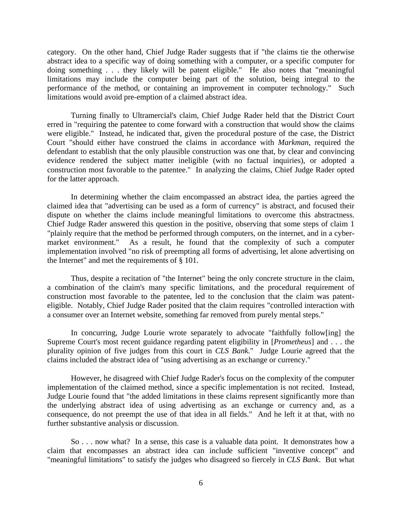category. On the other hand, Chief Judge Rader suggests that if "the claims tie the otherwise abstract idea to a specific way of doing something with a computer, or a specific computer for doing something . . . they likely will be patent eligible." He also notes that "meaningful limitations may include the computer being part of the solution, being integral to the performance of the method, or containing an improvement in computer technology." Such limitations would avoid pre-emption of a claimed abstract idea.

Turning finally to Ultramercial's claim, Chief Judge Rader held that the District Court erred in "requiring the patentee to come forward with a construction that would show the claims were eligible." Instead, he indicated that, given the procedural posture of the case, the District Court "should either have construed the claims in accordance with *Markman*, required the defendant to establish that the only plausible construction was one that, by clear and convincing evidence rendered the subject matter ineligible (with no factual inquiries), or adopted a construction most favorable to the patentee." In analyzing the claims, Chief Judge Rader opted for the latter approach.

In determining whether the claim encompassed an abstract idea, the parties agreed the claimed idea that "advertising can be used as a form of currency" is abstract, and focused their dispute on whether the claims include meaningful limitations to overcome this abstractness. Chief Judge Rader answered this question in the positive, observing that some steps of claim 1 "plainly require that the method be performed through computers, on the internet, and in a cybermarket environment." As a result, he found that the complexity of such a computer implementation involved "no risk of preempting all forms of advertising, let alone advertising on the Internet" and met the requirements of § 101.

Thus, despite a recitation of "the Internet" being the only concrete structure in the claim, a combination of the claim's many specific limitations, and the procedural requirement of construction most favorable to the patentee, led to the conclusion that the claim was patenteligible. Notably, Chief Judge Rader posited that the claim requires "controlled interaction with a consumer over an Internet website, something far removed from purely mental steps."

In concurring, Judge Lourie wrote separately to advocate "faithfully follow[ing] the Supreme Court's most recent guidance regarding patent eligibility in [*Prometheus*] and . . . the plurality opinion of five judges from this court in *CLS Bank.*" Judge Lourie agreed that the claims included the abstract idea of "using advertising as an exchange or currency."

However, he disagreed with Chief Judge Rader's focus on the complexity of the computer implementation of the claimed method, since a specific implementation is not recited. Instead, Judge Lourie found that "the added limitations in these claims represent significantly more than the underlying abstract idea of using advertising as an exchange or currency and, as a consequence, do not preempt the use of that idea in all fields." And he left it at that, with no further substantive analysis or discussion.

So . . . now what? In a sense, this case is a valuable data point. It demonstrates how a claim that encompasses an abstract idea can include sufficient "inventive concept" and "meaningful limitations" to satisfy the judges who disagreed so fiercely in *CLS Bank*. But what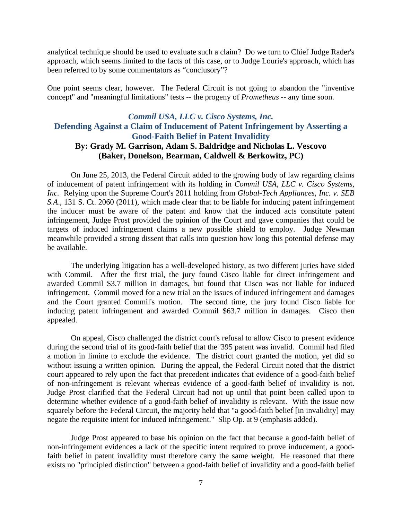analytical technique should be used to evaluate such a claim? Do we turn to Chief Judge Rader's approach, which seems limited to the facts of this case, or to Judge Lourie's approach, which has been referred to by some commentators as "conclusory"?

One point seems clear, however. The Federal Circuit is not going to abandon the "inventive concept" and "meaningful limitations" tests -- the progeny of *Prometheus* -- any time soon.

### *Commil USA, LLC v. Cisco Systems, Inc.* **Defending Against a Claim of Inducement of Patent Infringement by Asserting a Good-Faith Belief in Patent Invalidity By: Grady M. Garrison, Adam S. Baldridge and Nicholas L. Vescovo (Baker, Donelson, Bearman, Caldwell & Berkowitz, PC)**

On June 25, 2013, the Federal Circuit added to the growing body of law regarding claims of inducement of patent infringement with its holding in *Commil USA, LLC v. Cisco Systems, Inc.* Relying upon the Supreme Court's 2011 holding from *Global-Tech Appliances, Inc. v. SEB S.A*., 131 S. Ct. 2060 (2011), which made clear that to be liable for inducing patent infringement the inducer must be aware of the patent and know that the induced acts constitute patent infringement, Judge Prost provided the opinion of the Court and gave companies that could be targets of induced infringement claims a new possible shield to employ. Judge Newman meanwhile provided a strong dissent that calls into question how long this potential defense may be available.

The underlying litigation has a well-developed history, as two different juries have sided with Commil. After the first trial, the jury found Cisco liable for direct infringement and awarded Commil \$3.7 million in damages, but found that Cisco was not liable for induced infringement. Commil moved for a new trial on the issues of induced infringement and damages and the Court granted Commil's motion. The second time, the jury found Cisco liable for inducing patent infringement and awarded Commil \$63.7 million in damages. Cisco then appealed.

On appeal, Cisco challenged the district court's refusal to allow Cisco to present evidence during the second trial of its good-faith belief that the '395 patent was invalid. Commil had filed a motion in limine to exclude the evidence. The district court granted the motion, yet did so without issuing a written opinion. During the appeal, the Federal Circuit noted that the district court appeared to rely upon the fact that precedent indicates that evidence of a good-faith belief of non-infringement is relevant whereas evidence of a good-faith belief of invalidity is not. Judge Prost clarified that the Federal Circuit had not up until that point been called upon to determine whether evidence of a good-faith belief of invalidity is relevant. With the issue now squarely before the Federal Circuit, the majority held that "a good-faith belief [in invalidity] may negate the requisite intent for induced infringement." Slip Op. at 9 (emphasis added).

Judge Prost appeared to base his opinion on the fact that because a good-faith belief of non-infringement evidences a lack of the specific intent required to prove inducement, a goodfaith belief in patent invalidity must therefore carry the same weight. He reasoned that there exists no "principled distinction" between a good-faith belief of invalidity and a good-faith belief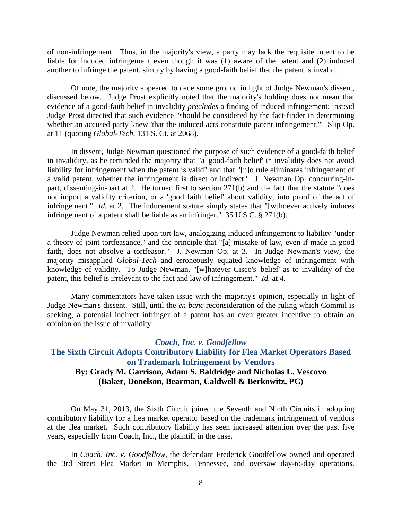of non-infringement. Thus, in the majority's view, a party may lack the requisite intent to be liable for induced infringement even though it was (1) aware of the patent and (2) induced another to infringe the patent, simply by having a good-faith belief that the patent is invalid.

Of note, the majority appeared to cede some ground in light of Judge Newman's dissent, discussed below. Judge Prost explicitly noted that the majority's holding does not mean that evidence of a good-faith belief in invalidity *precludes* a finding of induced infringement; instead Judge Prost directed that such evidence "should be considered by the fact-finder in determining whether an accused party knew 'that the induced acts constitute patent infringement.'" Slip Op. at 11 (quoting *Global-Tech*, 131 S. Ct. at 2068).

In dissent, Judge Newman questioned the purpose of such evidence of a good-faith belief in invalidity, as he reminded the majority that "a 'good-faith belief' in invalidity does not avoid liability for infringement when the patent is valid" and that "[n]o rule eliminates infringement of a valid patent, whether the infringement is direct or indirect." J. Newman Op. concurring-inpart, dissenting-in-part at 2. He turned first to section 271(b) and the fact that the statute "does not import a validity criterion, or a 'good faith belief' about validity, into proof of the act of infringement." *Id.* at 2. The inducement statute simply states that "[w]hoever actively induces infringement of a patent shall be liable as an infringer." 35 U.S.C. § 271(b).

Judge Newman relied upon tort law, analogizing induced infringement to liability "under a theory of joint tortfeasance," and the principle that "[a] mistake of law, even if made in good faith, does not absolve a tortfeasor." J. Newman Op. at 3. In Judge Newman's view, the majority misapplied *Global-Tech* and erroneously equated knowledge of infringement with knowledge of validity. To Judge Newman, "[w]hatever Cisco's 'belief' as to invalidity of the patent, this belief is irrelevant to the fact and law of infringement." *Id.* at 4.

Many commentators have taken issue with the majority's opinion, especially in light of Judge Newman's dissent. Still, until the *en banc* reconsideration of the ruling which Commil is seeking, a potential indirect infringer of a patent has an even greater incentive to obtain an opinion on the issue of invalidity.

## *Coach, Inc. v. Goodfellow* **The Sixth Circuit Adopts Contributory Liability for Flea Market Operators Based on Trademark Infringement by Vendors By: Grady M. Garrison, Adam S. Baldridge and Nicholas L. Vescovo (Baker, Donelson, Bearman, Caldwell & Berkowitz, PC)**

On May 31, 2013, the Sixth Circuit joined the Seventh and Ninth Circuits in adopting contributory liability for a flea market operator based on the trademark infringement of vendors at the flea market. Such contributory liability has seen increased attention over the past five years, especially from Coach, Inc., the plaintiff in the case.

In *Coach, Inc. v. Goodfellow*, the defendant Frederick Goodfellow owned and operated the 3rd Street Flea Market in Memphis, Tennessee, and oversaw day-to-day operations.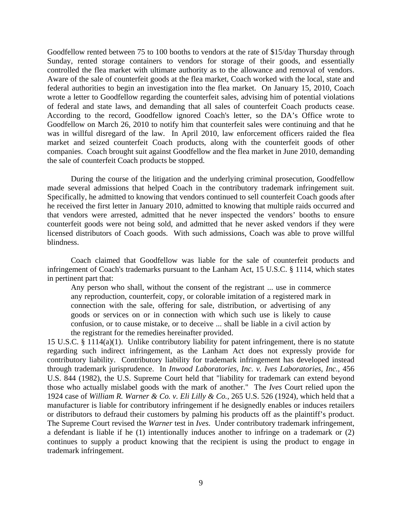Goodfellow rented between 75 to 100 booths to vendors at the rate of \$15/day Thursday through Sunday, rented storage containers to vendors for storage of their goods, and essentially controlled the flea market with ultimate authority as to the allowance and removal of vendors. Aware of the sale of counterfeit goods at the flea market, Coach worked with the local, state and federal authorities to begin an investigation into the flea market. On January 15, 2010, Coach wrote a letter to Goodfellow regarding the counterfeit sales, advising him of potential violations of federal and state laws, and demanding that all sales of counterfeit Coach products cease. According to the record, Goodfellow ignored Coach's letter, so the DA's Office wrote to Goodfellow on March 26, 2010 to notify him that counterfeit sales were continuing and that he was in willful disregard of the law. In April 2010, law enforcement officers raided the flea market and seized counterfeit Coach products, along with the counterfeit goods of other companies. Coach brought suit against Goodfellow and the flea market in June 2010, demanding the sale of counterfeit Coach products be stopped.

During the course of the litigation and the underlying criminal prosecution, Goodfellow made several admissions that helped Coach in the contributory trademark infringement suit. Specifically, he admitted to knowing that vendors continued to sell counterfeit Coach goods after he received the first letter in January 2010, admitted to knowing that multiple raids occurred and that vendors were arrested, admitted that he never inspected the vendors' booths to ensure counterfeit goods were not being sold, and admitted that he never asked vendors if they were licensed distributors of Coach goods. With such admissions, Coach was able to prove willful blindness.

Coach claimed that Goodfellow was liable for the sale of counterfeit products and infringement of Coach's trademarks pursuant to the Lanham Act, 15 U.S.C. § 1114, which states in pertinent part that:

Any person who shall, without the consent of the registrant ... use in commerce any reproduction, counterfeit, copy, or colorable imitation of a registered mark in connection with the sale, offering for sale, distribution, or advertising of any goods or services on or in connection with which such use is likely to cause confusion, or to cause mistake, or to deceive ... shall be liable in a civil action by the registrant for the remedies hereinafter provided.

15 U.S.C. § 1114(a)(1). Unlike contributory liability for patent infringement, there is no statute regarding such indirect infringement, as the Lanham Act does not expressly provide for contributory liability. Contributory liability for trademark infringement has developed instead through trademark jurisprudence. In *Inwood Laboratories, Inc. v. Ives Laboratories, Inc.*, 456 U.S. 844 (1982), the U.S. Supreme Court held that "liability for trademark can extend beyond those who actually mislabel goods with the mark of another." The *Ives* Court relied upon the 1924 case of *William R. Warner & Co. v. Eli Lilly & Co.*, 265 U.S. 526 (1924), which held that a manufacturer is liable for contributory infringement if he designedly enables or induces retailers or distributors to defraud their customers by palming his products off as the plaintiff's product. The Supreme Court revised the *Warner* test in *Ives*. Under contributory trademark infringement, a defendant is liable if he (1) intentionally induces another to infringe on a trademark or (2) continues to supply a product knowing that the recipient is using the product to engage in trademark infringement.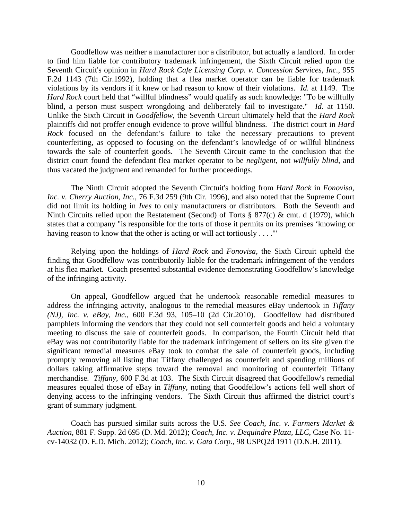Goodfellow was neither a manufacturer nor a distributor, but actually a landlord. In order to find him liable for contributory trademark infringement, the Sixth Circuit relied upon the Seventh Circuit's opinion in *Hard Rock Cafe Licensing Corp. v. Concession Services, Inc.*, 955 F.2d 1143 (7th Cir.1992), holding that a flea market operator can be liable for trademark violations by its vendors if it knew or had reason to know of their violations. *Id.* at 1149. The *Hard Rock* court held that "willful blindness" would qualify as such knowledge: "To be willfully blind, a person must suspect wrongdoing and deliberately fail to investigate." *Id.* at 1150. Unlike the Sixth Circuit in *Goodfellow*, the Seventh Circuit ultimately held that the *Hard Rock*  plaintiffs did not proffer enough evidence to prove willful blindness. The district court in *Hard Rock* focused on the defendant's failure to take the necessary precautions to prevent counterfeiting, as opposed to focusing on the defendant's knowledge of or willful blindness towards the sale of counterfeit goods. The Seventh Circuit came to the conclusion that the district court found the defendant flea market operator to be *negligent*, not *willfully blind*, and thus vacated the judgment and remanded for further proceedings.

 The Ninth Circuit adopted the Seventh Circtuit's holding from *Hard Rock* in *Fonovisa, Inc. v. Cherry Auction, Inc.*, 76 F.3d 259 (9th Cir. 1996), and also noted that the Supreme Court did not limit its holding in *Ives* to only manufacturers or distributors. Both the Seventh and Ninth Circuits relied upon the Restatement (Second) of Torts § 877(c) & cmt. d (1979), which states that a company "is responsible for the torts of those it permits on its premises 'knowing or having reason to know that the other is acting or will act tortiously . . . .'"

 Relying upon the holdings of *Hard Rock* and *Fonovisa*, the Sixth Circuit upheld the finding that Goodfellow was contributorily liable for the trademark infringement of the vendors at his flea market. Coach presented substantial evidence demonstrating Goodfellow's knowledge of the infringing activity.

 On appeal, Goodfellow argued that he undertook reasonable remedial measures to address the infringing activity, analogous to the remedial measures eBay undertook in *Tiffany (NJ), Inc. v. eBay, Inc.*, 600 F.3d 93, 105–10 (2d Cir.2010). Goodfellow had distributed pamphlets informing the vendors that they could not sell counterfeit goods and held a voluntary meeting to discuss the sale of counterfeit goods. In comparison, the Fourth Circuit held that eBay was not contributorily liable for the trademark infringement of sellers on its site given the significant remedial measures eBay took to combat the sale of counterfeit goods, including promptly removing all listing that Tiffany challenged as counterfeit and spending millions of dollars taking affirmative steps toward the removal and monitoring of counterfeit Tiffany merchandise. *Tiffany*, 600 F.3d at 103. The Sixth Circuit disagreed that Goodfellow's remedial measures equaled those of eBay in *Tiffany*, noting that Goodfellow's actions fell well short of denying access to the infringing vendors. The Sixth Circuit thus affirmed the district court's grant of summary judgment.

 Coach has pursued similar suits across the U.S. *See Coach, Inc. v. Farmers Market & Auction*, 881 F. Supp. 2d 695 (D. Md. 2012); *Coach, Inc. v. Dequindre Plaza, LLC*, Case No. 11 cv-14032 (D. E.D. Mich. 2012); *Coach, Inc. v. Gata Corp.*, 98 USPQ2d 1911 (D.N.H. 2011).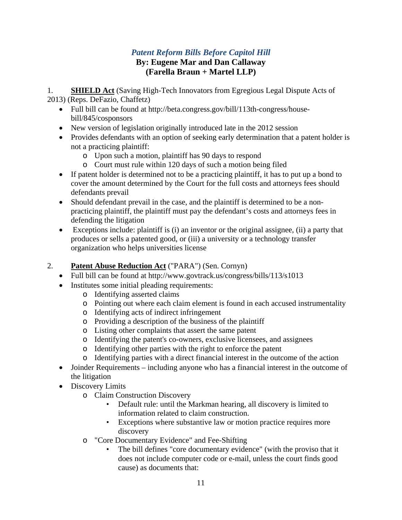## *Patent Reform Bills Before Capitol Hill* **By: Eugene Mar and Dan Callaway (Farella Braun + Martel LLP)**

1. **SHIELD Act** (Saving High-Tech Innovators from Egregious Legal Dispute Acts of 2013) (Reps. DeFazio, Chaffetz)

- Full bill can be found at http://beta.congress.gov/bill/113th-congress/housebill/845/cosponsors
- New version of legislation originally introduced late in the 2012 session
- Provides defendants with an option of seeking early determination that a patent holder is not a practicing plaintiff:
	- o Upon such a motion, plaintiff has 90 days to respond
	- o Court must rule within 120 days of such a motion being filed
- If patent holder is determined not to be a practicing plaintiff, it has to put up a bond to cover the amount determined by the Court for the full costs and attorneys fees should defendants prevail
- Should defendant prevail in the case, and the plaintiff is determined to be a nonpracticing plaintiff, the plaintiff must pay the defendant's costs and attorneys fees in defending the litigation
- Exceptions include: plaintiff is (i) an inventor or the original assignee, (ii) a party that produces or sells a patented good, or (iii) a university or a technology transfer organization who helps universities license

## 2. **Patent Abuse Reduction Act** ("PARA") (Sen. Cornyn)

- Full bill can be found at http://www.govtrack.us/congress/bills/113/s1013
- Institutes some initial pleading requirements:
	- o Identifying asserted claims
	- o Pointing out where each claim element is found in each accused instrumentality
	- o Identifying acts of indirect infringement
	- o Providing a description of the business of the plaintiff
	- o Listing other complaints that assert the same patent
	- o Identifying the patent's co-owners, exclusive licensees, and assignees
	- o Identifying other parties with the right to enforce the patent
	- o Identifying parties with a direct financial interest in the outcome of the action
- Joinder Requirements including anyone who has a financial interest in the outcome of the litigation
- Discovery Limits
	- o Claim Construction Discovery
		- Default rule: until the Markman hearing, all discovery is limited to information related to claim construction.
		- Exceptions where substantive law or motion practice requires more discovery
	- o "Core Documentary Evidence" and Fee-Shifting
		- The bill defines "core documentary evidence" (with the proviso that it does not include computer code or e-mail, unless the court finds good cause) as documents that: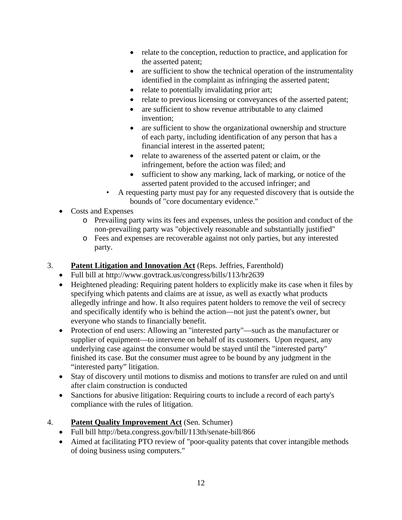- relate to the conception, reduction to practice, and application for the asserted patent;
- are sufficient to show the technical operation of the instrumentality identified in the complaint as infringing the asserted patent;
- relate to potentially invalidating prior art;
- relate to previous licensing or conveyances of the asserted patent;
- are sufficient to show revenue attributable to any claimed invention;
- are sufficient to show the organizational ownership and structure of each party, including identification of any person that has a financial interest in the asserted patent;
- relate to awareness of the asserted patent or claim, or the infringement, before the action was filed; and
- sufficient to show any marking, lack of marking, or notice of the asserted patent provided to the accused infringer; and
- A requesting party must pay for any requested discovery that is outside the bounds of "core documentary evidence."
- Costs and Expenses
	- o Prevailing party wins its fees and expenses, unless the position and conduct of the non-prevailing party was "objectively reasonable and substantially justified"
	- o Fees and expenses are recoverable against not only parties, but any interested party.

## 3. **Patent Litigation and Innovation Act** (Reps. Jeffries, Farenthold)

- Full bill at http://www.govtrack.us/congress/bills/113/hr2639
- Heightened pleading: Requiring patent holders to explicitly make its case when it files by specifying which patents and claims are at issue, as well as exactly what products allegedly infringe and how. It also requires patent holders to remove the veil of secrecy and specifically identify who is behind the action—not just the patent's owner, but everyone who stands to financially benefit.
- Protection of end users: Allowing an "interested party"—such as the manufacturer or supplier of equipment—to intervene on behalf of its customers. Upon request, any underlying case against the consumer would be stayed until the "interested party" finished its case. But the consumer must agree to be bound by any judgment in the "interested party" litigation.
- Stay of discovery until motions to dismiss and motions to transfer are ruled on and until after claim construction is conducted
- Sanctions for abusive litigation: Requiring courts to include a record of each party's compliance with the rules of litigation.

## 4. **Patent Quality Improvement Act** (Sen. Schumer)

- Full bill http://beta.congress.gov/bill/113th/senate-bill/866
- Aimed at facilitating PTO review of "poor-quality patents that cover intangible methods of doing business using computers."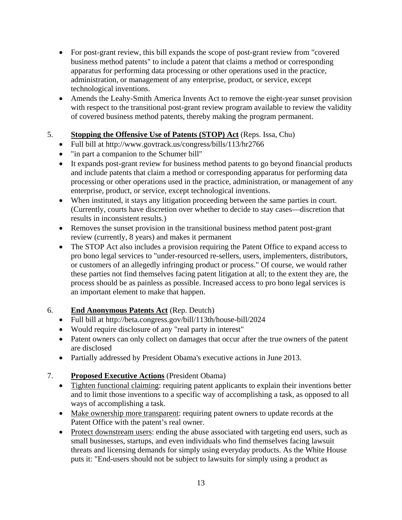- For post-grant review, this bill expands the scope of post-grant review from "covered" business method patents" to include a patent that claims a method or corresponding apparatus for performing data processing or other operations used in the practice, administration, or management of any enterprise, product, or service, except technological inventions.
- Amends the Leahy-Smith America Invents Act to remove the eight-year sunset provision with respect to the transitional post-grant review program available to review the validity of covered business method patents, thereby making the program permanent.

### 5. **Stopping the Offensive Use of Patents (STOP) Act** (Reps. Issa, Chu)

- Full bill at http://www.govtrack.us/congress/bills/113/hr2766
- "in part a companion to the Schumer bill"
- It expands post-grant review for business method patents to go beyond financial products and include patents that claim a method or corresponding apparatus for performing data processing or other operations used in the practice, administration, or management of any enterprise, product, or service, except technological inventions.
- When instituted, it stays any litigation proceeding between the same parties in court. (Currently, courts have discretion over whether to decide to stay cases—discretion that results in inconsistent results.)
- Removes the sunset provision in the transitional business method patent post-grant review (currently, 8 years) and makes it permanent
- The STOP Act also includes a provision requiring the Patent Office to expand access to pro bono legal services to "under-resourced re-sellers, users, implementers, distributors, or customers of an allegedly infringing product or process." Of course, we would rather these parties not find themselves facing patent litigation at all; to the extent they are, the process should be as painless as possible. Increased access to pro bono legal services is an important element to make that happen.

### 6. **End Anonymous Patents Act** (Rep. Deutch)

- Full bill at http://beta.congress.gov/bill/113th/house-bill/2024
- Would require disclosure of any "real party in interest"
- Patent owners can only collect on damages that occur after the true owners of the patent are disclosed
- Partially addressed by President Obama's executive actions in June 2013.

#### 7. **Proposed Executive Actions** (President Obama)

- Tighten functional claiming: requiring patent applicants to explain their inventions better and to limit those inventions to a specific way of accomplishing a task, as opposed to all ways of accomplishing a task.
- Make ownership more transparent: requiring patent owners to update records at the Patent Office with the patent's real owner.
- Protect downstream users: ending the abuse associated with targeting end users, such as small businesses, startups, and even individuals who find themselves facing lawsuit threats and licensing demands for simply using everyday products. As the White House puts it: "End-users should not be subject to lawsuits for simply using a product as